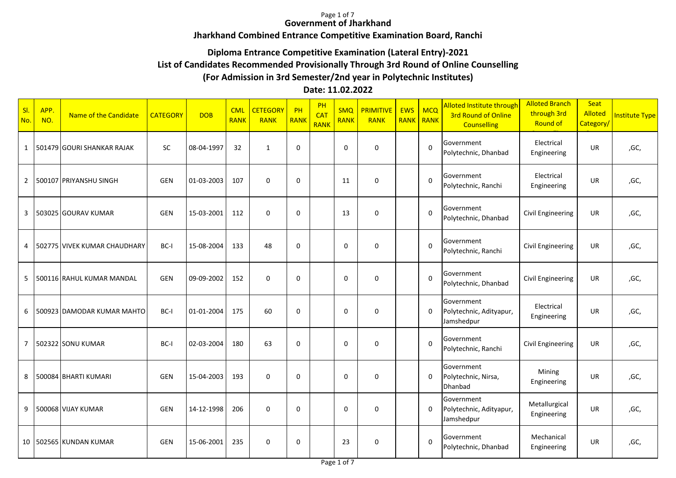#### Page 1 of 7 **Government of Jharkhand**

# **Jharkhand Combined Entrance Competitive Examination Board, Ranchi**

# **Diploma Entrance Competitive Examination (Lateral Entry)-2021**

## **List of Candidates Recommended Provisionally Through 3rd Round of Online Counselling**

### **(For Admission in 3rd Semester/2nd year in Polytechnic Institutes)**

### **Date: 11.02.2022**

| SI.<br>No.     | APP.<br>NO. | Name of the Candidate        | <b>CATEGORY</b> | <b>DOB</b> | <b>CML</b><br><b>RANK</b> | <b>CETEGORY</b><br><b>RANK</b> | PH<br><b>RANK</b> | PH<br><b>CAT</b><br><b>RANK</b> | <b>SMQ</b><br><b>RANK</b> | <b>PRIMITIVE</b><br><b>RANK</b> | <b>EWS</b><br>RANK | <b>MCQ</b><br><b>RANK</b> | Alloted Institute through<br><b>3rd Round of Online</b><br><b>Counselling</b> | <b>Alloted Branch</b><br>through 3rd<br><b>Round of</b> | Seat<br>Alloted<br>Category | <b>Institute Type</b> |
|----------------|-------------|------------------------------|-----------------|------------|---------------------------|--------------------------------|-------------------|---------------------------------|---------------------------|---------------------------------|--------------------|---------------------------|-------------------------------------------------------------------------------|---------------------------------------------------------|-----------------------------|-----------------------|
| 1              |             | 501479 GOURI SHANKAR RAJAK   | <b>SC</b>       | 08-04-1997 | 32                        | $\mathbf{1}$                   | $\mathbf 0$       |                                 | $\mathbf 0$               | $\mathbf 0$                     |                    | $\mathbf 0$               | Government<br>Polytechnic, Dhanbad                                            | Electrical<br>Engineering                               | UR                          | ,GC,                  |
| $\overline{2}$ |             | 500107 PRIYANSHU SINGH       | <b>GEN</b>      | 01-03-2003 | 107                       | $\mathbf 0$                    | $\Omega$          |                                 | 11                        | $\mathbf 0$                     |                    | $\mathbf 0$               | Government<br>Polytechnic, Ranchi                                             | Electrical<br>Engineering                               | UR                          | ,GC,                  |
| 3              |             | 503025 GOURAV KUMAR          | <b>GEN</b>      | 15-03-2001 | 112                       | $\mathbf 0$                    | $\mathbf 0$       |                                 | 13                        | $\mathbf 0$                     |                    | $\Omega$                  | Government<br>Polytechnic, Dhanbad                                            | <b>Civil Engineering</b>                                | UR                          | ,GC,                  |
| 4              |             | 502775 VIVEK KUMAR CHAUDHARY | BC-I            | 15-08-2004 | 133                       | 48                             | $\Omega$          |                                 | 0                         | 0                               |                    | $\Omega$                  | Government<br>Polytechnic, Ranchi                                             | Civil Engineering                                       | UR                          | ,GC,                  |
| 5              |             | 500116 RAHUL KUMAR MANDAL    | <b>GEN</b>      | 09-09-2002 | 152                       | $\mathbf 0$                    | $\mathbf 0$       |                                 | $\mathbf 0$               | $\Omega$                        |                    | $\Omega$                  | Government<br>Polytechnic, Dhanbad                                            | Civil Engineering                                       | UR                          | ,GC,                  |
| 6              |             | 500923 DAMODAR KUMAR MAHTO   | BC-I            | 01-01-2004 | 175                       | 60                             | $\Omega$          |                                 | 0                         | $\Omega$                        |                    | $\mathbf 0$               | Government<br>Polytechnic, Adityapur,<br>Jamshedpur                           | Electrical<br>Engineering                               | <b>UR</b>                   | ,GC,                  |
| $\overline{7}$ |             | 502322 SONU KUMAR            | BC-I            | 02-03-2004 | 180                       | 63                             | $\Omega$          |                                 | $\mathbf 0$               | $\Omega$                        |                    | $\Omega$                  | Government<br>Polytechnic, Ranchi                                             | Civil Engineering                                       | <b>UR</b>                   | ,GC,                  |
| 8              |             | 500084 BHARTI KUMARI         | <b>GEN</b>      | 15-04-2003 | 193                       | $\mathbf 0$                    | $\Omega$          |                                 | $\mathbf 0$               | $\Omega$                        |                    | $\mathbf 0$               | Government<br>Polytechnic, Nirsa,<br>Dhanbad                                  | Mining<br>Engineering                                   | <b>UR</b>                   | ,GC,                  |
| 9              |             | 500068 VIJAY KUMAR           | <b>GEN</b>      | 14-12-1998 | 206                       | $\mathbf 0$                    | $\Omega$          |                                 | $\mathbf 0$               | $\Omega$                        |                    | $\mathbf 0$               | Government<br>Polytechnic, Adityapur,<br>Jamshedpur                           | Metallurgical<br>Engineering                            | UR                          | ,GC,                  |
|                |             | 10   502565 KUNDAN KUMAR     | <b>GEN</b>      | 15-06-2001 | 235                       | $\mathbf 0$                    | $\Omega$          |                                 | 23                        | $\mathbf 0$                     |                    | $\Omega$                  | Government<br>Polytechnic, Dhanbad                                            | Mechanical<br>Engineering                               | UR                          | ,GC,                  |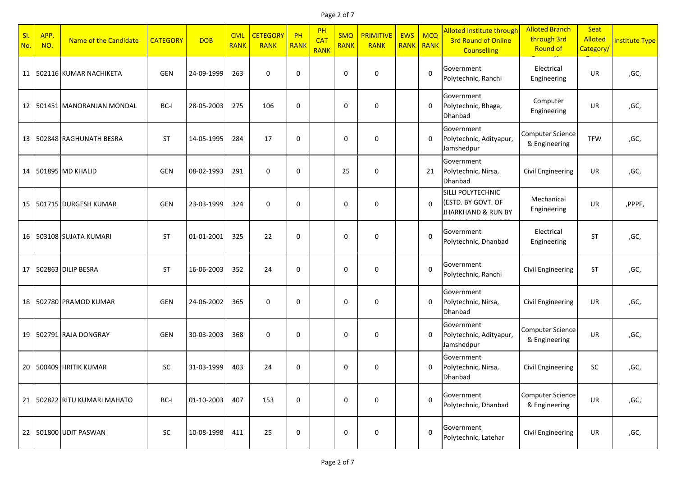### Page 2 of 7

| SI.<br>No. | APP.<br>NO. | Name of the Candidate            | <b>CATEGORY</b> | <b>DOB</b> | <b>CML</b><br><b>RANK</b> | <b>CETEGORY</b><br><b>RANK</b> | PH<br><b>RANK</b> | PH<br>CA <sub>1</sub><br><b>RANK</b> | <b>SMQ</b><br><b>RANK</b> | <b>PRIMITIVE</b><br><b>RANK</b> | <b>EWS</b><br><b>RANK</b> | <b>MCQ</b><br>RANK | Alloted Institute through<br><b>3rd Round of Online</b><br><b>Counselling</b> | <b>Alloted Branch</b><br>through 3rd<br>Round of | <b>Seat</b><br>Alloted<br>Category/ | <b>Institute Type</b> |
|------------|-------------|----------------------------------|-----------------|------------|---------------------------|--------------------------------|-------------------|--------------------------------------|---------------------------|---------------------------------|---------------------------|--------------------|-------------------------------------------------------------------------------|--------------------------------------------------|-------------------------------------|-----------------------|
|            |             | 11   502116 KUMAR NACHIKETA      | GEN             | 24-09-1999 | 263                       | $\mathbf 0$                    | $\mathbf 0$       |                                      | $\mathbf 0$               | 0                               |                           | $\Omega$           | Government<br>Polytechnic, Ranchi                                             | Electrical<br>Engineering                        | <b>UR</b>                           | ,GC,                  |
|            |             | 12 501451 MANORANJAN MONDAL      | BC-I            | 28-05-2003 | 275                       | 106                            | $\mathbf 0$       |                                      | 0                         | $\mathbf 0$                     |                           | 0                  | Government<br>Polytechnic, Bhaga,<br>Dhanbad                                  | Computer<br>Engineering                          | UR                                  | ,GC,                  |
|            |             | 13 502848 RAGHUNATH BESRA        | <b>ST</b>       | 14-05-1995 | 284                       | 17                             | $\mathbf 0$       |                                      | $\mathbf 0$               | 0                               |                           | $\mathbf 0$        | Government<br>Polytechnic, Adityapur,<br>Jamshedpur                           | <b>Computer Science</b><br>& Engineering         | <b>TFW</b>                          | ,GC,                  |
|            |             | 14 501895 MD KHALID              | <b>GEN</b>      | 08-02-1993 | 291                       | $\mathbf 0$                    | $\mathbf 0$       |                                      | 25                        | 0                               |                           | 21                 | Government<br>Polytechnic, Nirsa,<br>Dhanbad                                  | Civil Engineering                                | UR                                  | ,GC,                  |
|            |             | 15 501715 DURGESH KUMAR          | GEN             | 23-03-1999 | 324                       | $\mathbf 0$                    | $\mathbf 0$       |                                      | $\mathbf 0$               | $\Omega$                        |                           | $\Omega$           | SILLI POLYTECHNIC<br>(ESTD. BY GOVT. OF<br><b>JHARKHAND &amp; RUN BY</b>      | Mechanical<br>Engineering                        | UR                                  | ,PPPF,                |
|            |             | 16 503108 SUJATA KUMARI          | <b>ST</b>       | 01-01-2001 | 325                       | 22                             | $\mathbf 0$       |                                      | 0                         | 0                               |                           | $\mathbf 0$        | Government<br>Polytechnic, Dhanbad                                            | Electrical<br>Engineering                        | <b>ST</b>                           | ,GC,                  |
|            |             | 17 502863 DILIP BESRA            | <b>ST</b>       | 16-06-2003 | 352                       | 24                             | $\mathbf 0$       |                                      | $\mathbf 0$               | $\mathbf 0$                     |                           | $\mathbf 0$        | Government<br>Polytechnic, Ranchi                                             | <b>Civil Engineering</b>                         | <b>ST</b>                           | ,GC,                  |
|            |             | 18 502780 PRAMOD KUMAR           | <b>GEN</b>      | 24-06-2002 | 365                       | $\mathbf 0$                    | $\mathbf 0$       |                                      | 0                         | 0                               |                           | $\mathbf 0$        | Government<br>Polytechnic, Nirsa,<br>Dhanbad                                  | <b>Civil Engineering</b>                         | <b>UR</b>                           | ,GC,                  |
|            |             | 19 502791 RAJA DONGRAY           | <b>GEN</b>      | 30-03-2003 | 368                       | $\mathbf 0$                    | $\mathbf 0$       |                                      | 0                         | 0                               |                           | 0                  | Government<br>Polytechnic, Adityapur,<br>Jamshedpur                           | <b>Computer Science</b><br>& Engineering         | UR                                  | ,GC,                  |
|            |             | 20 500409 HRITIK KUMAR           | <b>SC</b>       | 31-03-1999 | 403                       | 24                             | $\mathbf 0$       |                                      | 0                         | 0                               |                           | $\mathbf 0$        | Government<br>Polytechnic, Nirsa,<br>Dhanbad                                  | <b>Civil Engineering</b>                         | SC                                  | ,GC,                  |
|            |             | 21   502822   RITU KUMARI MAHATO | BC-I            | 01-10-2003 | 407                       | 153                            | 0                 |                                      | 0                         | 0                               |                           | $\mathbf 0$        | Government<br>Polytechnic, Dhanbad                                            | <b>Computer Science</b><br>& Engineering         | UR                                  | ,GC,                  |
|            |             | 22 501800 UDIT PASWAN            | SC              | 10-08-1998 | 411                       | 25                             | 0                 |                                      | 0                         | 0                               |                           | $\mathbf 0$        | Government<br>Polytechnic, Latehar                                            | Civil Engineering                                | UR                                  | ,GC,                  |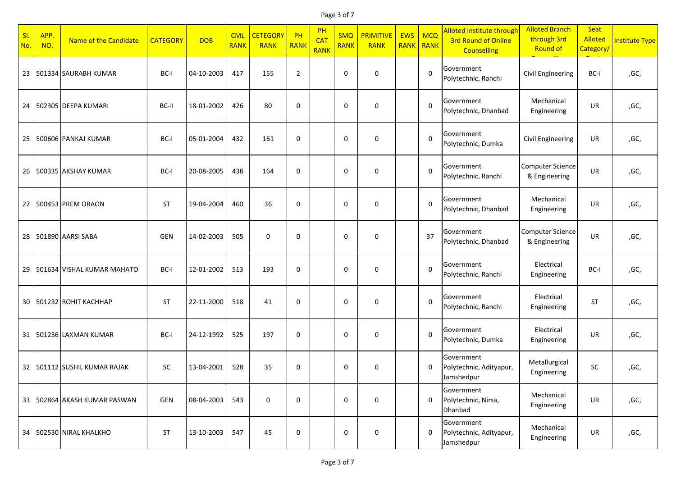### Page 3 of 7

| SI.<br>No. | APP.<br>NO. | Name of the Candidate             | <b>CATEGORY</b> | <b>DOB</b> | <b>CML</b><br><b>RANK</b> | <b>CETEGORY</b><br><b>RANK</b> | PH<br><b>RANK</b> | PH<br><b>CAT</b><br><b>RANK</b> | <b>SMQ</b><br><b>RANK</b> | <b>PRIMITIVE</b><br><b>RANK</b> | <b>EWS</b><br><b>RANK</b> | <b>MCQ</b><br>RANK | Alloted Institute through<br>3rd Round of Online<br><b>Counselling</b> | <b>Alloted Branch</b><br>through 3rd<br>Round of | <b>Seat</b><br>Alloted<br>Category/ | <b>Institute Type</b> |
|------------|-------------|-----------------------------------|-----------------|------------|---------------------------|--------------------------------|-------------------|---------------------------------|---------------------------|---------------------------------|---------------------------|--------------------|------------------------------------------------------------------------|--------------------------------------------------|-------------------------------------|-----------------------|
|            |             | 23 501334 SAURABH KUMAR           | BC-I            | 04-10-2003 | 417                       | 155                            | $\overline{2}$    |                                 | 0                         | 0                               |                           | $\mathbf 0$        | Government<br>Polytechnic, Ranchi                                      | Civil Engineering                                | BC-I                                | ,GC,                  |
|            |             | 24 502305 DEEPA KUMARI            | BC-II           | 18-01-2002 | 426                       | 80                             | $\mathbf 0$       |                                 | 0                         | 0                               |                           | $\pmb{0}$          | Government<br>Polytechnic, Dhanbad                                     | Mechanical<br>Engineering                        | UR                                  | ,GC,                  |
|            |             | 25 500606 PANKAJ KUMAR            | BC-I            | 05-01-2004 | 432                       | 161                            | $\mathbf 0$       |                                 | 0                         | 0                               |                           | $\mathbf 0$        | Government<br>Polytechnic, Dumka                                       | <b>Civil Engineering</b>                         | <b>UR</b>                           | ,GC,                  |
|            |             | 26 500335 AKSHAY KUMAR            | BC-I            | 20-08-2005 | 438                       | 164                            | $\mathbf 0$       |                                 | 0                         | 0                               |                           | $\mathbf 0$        | Government<br>Polytechnic, Ranchi                                      | <b>Computer Science</b><br>& Engineering         | UR                                  | ,GC,                  |
|            |             | 27 500453 PREM ORAON              | <b>ST</b>       | 19-04-2004 | 460                       | 36                             | $\mathbf 0$       |                                 | 0                         | 0                               |                           | $\mathbf 0$        | Government<br>Polytechnic, Dhanbad                                     | Mechanical<br>Engineering                        | UR                                  | ,GC,                  |
|            |             | 28 501890 AARSI SABA              | <b>GEN</b>      | 14-02-2003 | 505                       | $\mathbf 0$                    | $\mathbf 0$       |                                 | 0                         | 0                               |                           | 37                 | Government<br>Polytechnic, Dhanbad                                     | <b>Computer Science</b><br>& Engineering         | UR                                  | ,GC,                  |
|            |             | 29   501634   VISHAL KUMAR MAHATO | BC-I            | 12-01-2002 | 513                       | 193                            | $\mathbf 0$       |                                 | 0                         | 0                               |                           | 0                  | Government<br>Polytechnic, Ranchi                                      | Electrical<br>Engineering                        | BC-I                                | ,GC,                  |
|            |             | 30 501232 ROHIT KACHHAP           | <b>ST</b>       | 22-11-2000 | 518                       | 41                             | 0                 |                                 | 0                         | 0                               |                           | $\mathbf 0$        | Government<br>Polytechnic, Ranchi                                      | Electrical<br>Engineering                        | <b>ST</b>                           | ,GC,                  |
|            |             | 31 501236 LAXMAN KUMAR            | BC-I            | 24-12-1992 | 525                       | 197                            | $\mathbf 0$       |                                 | 0                         | 0                               |                           | $\mathbf 0$        | Government<br>Polytechnic, Dumka                                       | Electrical<br>Engineering                        | UR                                  | ,GC,                  |
|            |             | 32   501112   SUSHIL KUMAR RAJAK  | SC              | 13-04-2001 | 528                       | 35                             | 0                 |                                 | 0                         | 0                               |                           | 0                  | Government<br>Polytechnic, Adityapur,<br>Jamshedpur                    | Metallurgical<br>Engineering                     | SC                                  | ,GC,                  |
|            |             | 33 502864 AKASH KUMAR PASWAN      | GEN             | 08-04-2003 | 543                       | $\mathbf 0$                    | 0                 |                                 | 0                         | 0                               |                           | 0                  | Government<br>Polytechnic, Nirsa,<br>Dhanbad                           | Mechanical<br>Engineering                        | UR                                  | ,GC,                  |
|            |             | 34 502530 NIRAL KHALKHO           | <b>ST</b>       | 13-10-2003 | 547                       | 45                             | $\mathbf 0$       |                                 | 0                         | 0                               |                           | 0                  | Government<br>Polytechnic, Adityapur,<br>Jamshedpur                    | Mechanical<br>Engineering                        | UR                                  | ,GC,                  |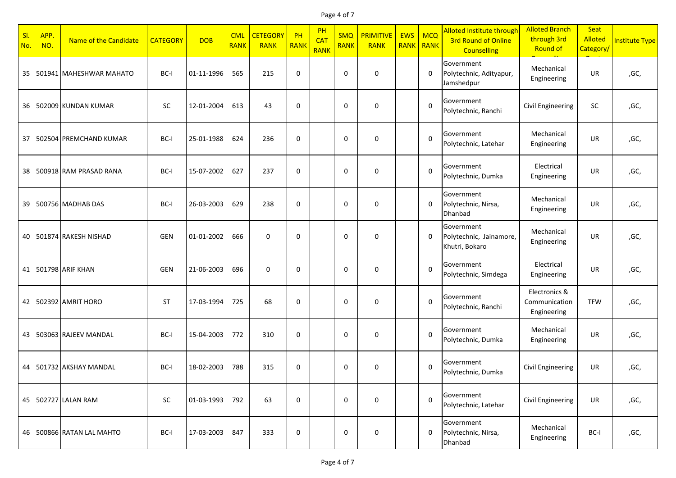### Page 4 of 7

| SI.<br>No. | APP.<br>NO. | Name of the Candidate      | <b>CATEGORY</b> | <b>DOB</b> | <b>CML</b><br><b>RANK</b> | <b>CETEGORY</b><br><b>RANK</b> | PH<br><b>RANK</b> | PH<br><b>CAT</b><br><b>RANK</b> | <b>SMQ</b><br><b>RANK</b> | <b>PRIMITIVE</b><br><b>RANK</b> | <b>EWS</b><br><b>RANK</b> | <b>MCQ</b><br>RANK | Alloted Institute through<br>3rd Round of Online<br><b>Counselling</b> | <b>Alloted Branch</b><br>through 3rd<br>Round of | <b>Seat</b><br>Alloted<br>Category/ | <b>Institute Type</b> |
|------------|-------------|----------------------------|-----------------|------------|---------------------------|--------------------------------|-------------------|---------------------------------|---------------------------|---------------------------------|---------------------------|--------------------|------------------------------------------------------------------------|--------------------------------------------------|-------------------------------------|-----------------------|
|            |             | 35 501941 MAHESHWAR MAHATO | BC-I            | 01-11-1996 | 565                       | 215                            | $\mathbf 0$       |                                 | 0                         | 0                               |                           | 0                  | Government<br>Polytechnic, Adityapur,<br>Jamshedpur                    | Mechanical<br>Engineering                        | <b>UR</b>                           | ,GC,                  |
|            |             | 36 502009 KUNDAN KUMAR     | <b>SC</b>       | 12-01-2004 | 613                       | 43                             | $\mathbf 0$       |                                 | 0                         | 0                               |                           | $\mathbf 0$        | Government<br>Polytechnic, Ranchi                                      | <b>Civil Engineering</b>                         | SC                                  | ,GC,                  |
|            |             | 37 502504 PREMCHAND KUMAR  | BC-I            | 25-01-1988 | 624                       | 236                            | $\mathbf 0$       |                                 | 0                         | 0                               |                           | $\Omega$           | Government<br>Polytechnic, Latehar                                     | Mechanical<br>Engineering                        | <b>UR</b>                           | ,GC,                  |
|            |             | 38 500918 RAM PRASAD RANA  | BC-I            | 15-07-2002 | 627                       | 237                            | $\mathbf 0$       |                                 | 0                         | 0                               |                           | $\mathbf 0$        | Government<br>Polytechnic, Dumka                                       | Electrical<br>Engineering                        | UR                                  | ,GC,                  |
|            |             | 39 500756 MADHAB DAS       | BC-I            | 26-03-2003 | 629                       | 238                            | $\mathbf 0$       |                                 | 0                         | $\Omega$                        |                           | 0                  | Government<br>Polytechnic, Nirsa,<br>Dhanbad                           | Mechanical<br>Engineering                        | UR                                  | ,GC,                  |
|            |             | 40   501874 RAKESH NISHAD  | <b>GEN</b>      | 01-01-2002 | 666                       | $\mathbf 0$                    | $\mathbf 0$       |                                 | 0                         | 0                               |                           | 0                  | Government<br>Polytechnic, Jainamore,<br>Khutri, Bokaro                | Mechanical<br>Engineering                        | UR                                  | ,GC,                  |
|            |             | 41   501798 ARIF KHAN      | <b>GEN</b>      | 21-06-2003 | 696                       | $\mathbf 0$                    | $\mathbf 0$       |                                 | 0                         | 0                               |                           | $\mathbf 0$        | Government<br>Polytechnic, Simdega                                     | Electrical<br>Engineering                        | UR                                  | ,GC,                  |
|            |             | 42   502392   AMRIT HORO   | <b>ST</b>       | 17-03-1994 | 725                       | 68                             | $\mathbf 0$       |                                 | 0                         | 0                               |                           | $\mathbf 0$        | Government<br>Polytechnic, Ranchi                                      | Electronics &<br>Communication<br>Engineering    | <b>TFW</b>                          | ,GC,                  |
|            |             | 43 503063 RAJEEV MANDAL    | BC-I            | 15-04-2003 | 772                       | 310                            | $\mathbf 0$       |                                 | 0                         | 0                               |                           | $\mathbf 0$        | Government<br>Polytechnic, Dumka                                       | Mechanical<br>Engineering                        | UR                                  | ,GC,                  |
|            |             | 44   501732 AKSHAY MANDAL  | BC-I            | 18-02-2003 | 788                       | 315                            | 0                 |                                 | 0                         | 0                               |                           | $\mathbf 0$        | Government<br>Polytechnic, Dumka                                       | <b>Civil Engineering</b>                         | UR                                  | ,GC,                  |
|            |             | 45 502727 LALAN RAM        | SC              | 01-03-1993 | 792                       | 63                             | 0                 |                                 | 0                         | 0                               |                           | $\pmb{0}$          | Government<br>Polytechnic, Latehar                                     | <b>Civil Engineering</b>                         | UR                                  | ,GC,                  |
|            |             | 46 500866 RATAN LAL MAHTO  | BC-I            | 17-03-2003 | 847                       | 333                            | 0                 |                                 | 0                         | 0                               |                           | 0                  | Government<br>Polytechnic, Nirsa,<br>Dhanbad                           | Mechanical<br>Engineering                        | BC-I                                | ,GC,                  |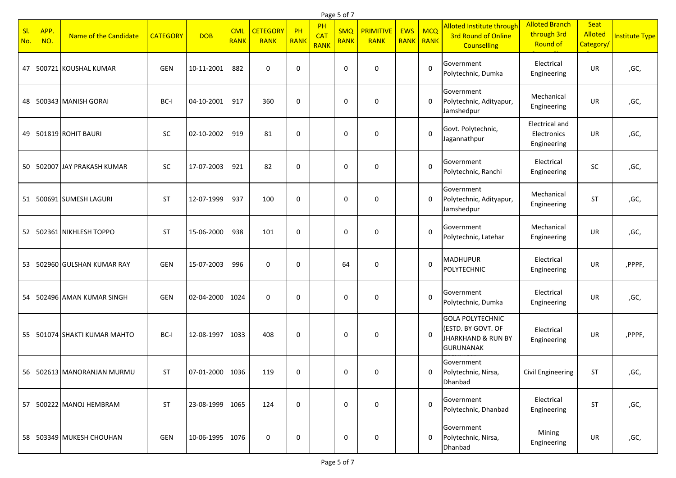|            | Page 5 of 7 |                                |                 |                   |                           |                                |                   |                                 |                           |                                 |                           |                    |                                                                                                    |                                                         |                              |                |
|------------|-------------|--------------------------------|-----------------|-------------------|---------------------------|--------------------------------|-------------------|---------------------------------|---------------------------|---------------------------------|---------------------------|--------------------|----------------------------------------------------------------------------------------------------|---------------------------------------------------------|------------------------------|----------------|
| SI.<br>No. | APP.<br>NO. | Name of the Candidate          | <b>CATEGORY</b> | <b>DOB</b>        | <b>CML</b><br><b>RANK</b> | <b>CETEGORY</b><br><b>RANK</b> | PH<br><b>RANK</b> | PH<br><b>CAT</b><br><b>RANK</b> | <b>SMQ</b><br><b>RANK</b> | <b>PRIMITIVE</b><br><b>RANK</b> | <b>EWS</b><br><b>RANK</b> | <b>MCQ</b><br>RANK | Alloted Institute through<br><b>3rd Round of Online</b><br><b>Counselling</b>                      | <b>Alloted Branch</b><br>through 3rd<br><b>Round of</b> | Seat<br>Alloted<br>Category/ | Institute Type |
| 47         |             | 500721 KOUSHAL KUMAR           | GEN             | 10-11-2001        | 882                       | $\mathbf 0$                    | $\mathbf 0$       |                                 | $\mathbf 0$               | 0                               |                           | $\mathbf 0$        | Government<br>Polytechnic, Dumka                                                                   | Electrical<br>Engineering                               | UR                           | ,GC,           |
| 48         |             | 500343 MANISH GORAI            | BC-I            | 04-10-2001        | 917                       | 360                            | $\mathbf 0$       |                                 | 0                         | 0                               |                           | 0                  | Government<br>Polytechnic, Adityapur,<br>Jamshedpur                                                | Mechanical<br>Engineering                               | UR                           | ,GC,           |
|            |             | 49 501819 ROHIT BAURI          | <b>SC</b>       | 02-10-2002        | 919                       | 81                             | $\mathbf 0$       |                                 | $\mathbf 0$               | 0                               |                           | $\Omega$           | Govt. Polytechnic,<br>Jagannathpur                                                                 | <b>Electrical and</b><br>Electronics<br>Engineering     | UR                           | ,GC,           |
| 50         |             | 502007 JJAY PRAKASH KUMAR      | <b>SC</b>       | 17-07-2003        | 921                       | 82                             | $\mathbf 0$       |                                 | 0                         | 0                               |                           | $\mathbf 0$        | Government<br>Polytechnic, Ranchi                                                                  | Electrical<br>Engineering                               | SC                           | ,GC,           |
|            |             | 51 500691 SUMESH LAGURI        | <b>ST</b>       | 12-07-1999        | 937                       | 100                            | $\mathbf 0$       |                                 | $\mathbf 0$               | 0                               |                           | 0                  | Government<br>Polytechnic, Adityapur,<br>Jamshedpur                                                | Mechanical<br>Engineering                               | <b>ST</b>                    | ,GC,           |
| 52         |             | 502361 NIKHLESH TOPPO          | <b>ST</b>       | 15-06-2000        | 938                       | 101                            | 0                 |                                 | 0                         | 0                               |                           | $\mathbf 0$        | Government<br>Polytechnic, Latehar                                                                 | Mechanical<br>Engineering                               | UR                           | ,GC,           |
|            |             | 53 502960 GULSHAN KUMAR RAY    | <b>GEN</b>      | 15-07-2003        | 996                       | $\mathbf 0$                    | $\mathbf 0$       |                                 | 64                        | 0                               |                           | $\mathbf 0$        | <b>MADHUPUR</b><br>POLYTECHNIC                                                                     | Electrical<br>Engineering                               | UR                           | ,PPPF,         |
| 54         |             | 502496 AMAN KUMAR SINGH        | <b>GEN</b>      | 02-04-2000        | 1024                      | $\mathbf 0$                    | $\mathbf 0$       |                                 | $\mathbf 0$               | 0                               |                           | $\mathbf 0$        | Government<br>Polytechnic, Dumka                                                                   | Electrical<br>Engineering                               | UR                           | ,GC,           |
|            |             | 55 501074 SHAKTI KUMAR MAHTO   | BC-I            | 12-08-1997        | 1033                      | 408                            | 0                 |                                 | 0                         | 0                               |                           | 0                  | <b>GOLA POLYTECHNIC</b><br>(ESTD. BY GOVT. OF<br><b>JHARKHAND &amp; RUN BY</b><br><b>GURUNANAK</b> | Electrical<br>Engineering                               | UR                           | ,PPPF,         |
|            |             | 56   502613   MANORANJAN MURMU | <b>ST</b>       | 07-01-2000   1036 |                           | 119                            | $\mathbf{0}$      |                                 | $\mathbf{0}$              | 0                               |                           | 0                  | Government<br>Polytechnic, Nirsa,<br>Dhanbad                                                       | Civil Engineering                                       | ST.                          | ,GC,           |
|            |             | 57   500222 MANOJ HEMBRAM      | ST              | 23-08-1999 1065   |                           | 124                            | 0                 |                                 | 0                         | 0                               |                           | $\boldsymbol{0}$   | Government<br>Polytechnic, Dhanbad                                                                 | Electrical<br>Engineering                               | ST                           | ,GC,           |
|            |             | 58 503349 MUKESH CHOUHAN       | GEN             | 10-06-1995 1076   |                           | $\mathbf 0$                    | 0                 |                                 | 0                         | 0                               |                           | 0                  | Government<br>Polytechnic, Nirsa,<br>Dhanbad                                                       | Mining<br>Engineering                                   | UR                           | ,GC,           |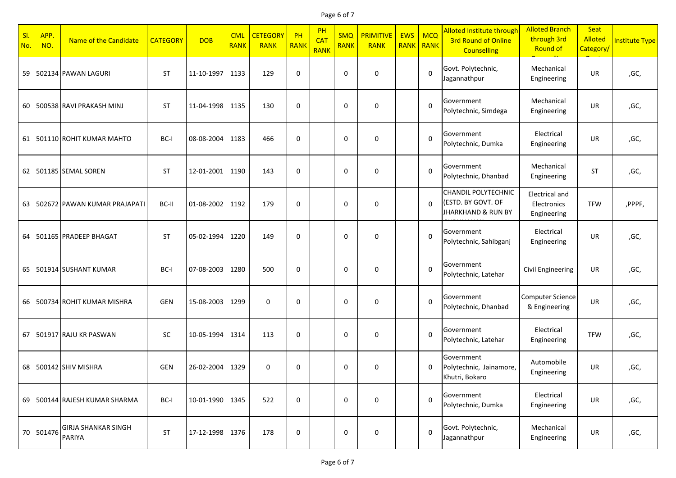Page 6 of 7

| SI.<br>No. | APP.<br>NO. | Name of the Candidate                | <b>CATEGORY</b> | <b>DOB</b>      | <b>CML</b><br><b>RANK</b> | <b>CETEGORY</b><br><b>RANK</b> | PH<br><b>RANK</b> | PH<br>CA <sub>1</sub><br><b>RANK</b> | <b>SMQ</b><br><b>RANK</b> | <b>PRIMITIVE</b><br><b>RANK</b> | <b>EWS</b><br><b>RANK</b> | <b>MCQ</b><br><b>RANK</b> | Alloted Institute through<br><b>3rd Round of Online</b><br><b>Counselling</b>     | <b>Alloted Branch</b><br>through 3rd<br><b>Round of</b> | Seat<br>Alloted<br>Category/ | <b>Institute Type</b> |
|------------|-------------|--------------------------------------|-----------------|-----------------|---------------------------|--------------------------------|-------------------|--------------------------------------|---------------------------|---------------------------------|---------------------------|---------------------------|-----------------------------------------------------------------------------------|---------------------------------------------------------|------------------------------|-----------------------|
|            |             | 59 502134 PAWAN LAGURI               | <b>ST</b>       | 11-10-1997      | 1133                      | 129                            | 0                 |                                      | $\mathbf 0$               | $\mathbf 0$                     |                           | $\mathbf 0$               | Govt. Polytechnic,<br>Jagannathpur                                                | Mechanical<br>Engineering                               | UR.                          | ,GC,                  |
|            |             | 60   500538 RAVI PRAKASH MINJ        | <b>ST</b>       | 11-04-1998      | 1135                      | 130                            | $\mathbf 0$       |                                      | $\mathbf 0$               | 0                               |                           | $\mathbf 0$               | Government<br>Polytechnic, Simdega                                                | Mechanical<br>Engineering                               | <b>UR</b>                    | ,GC,                  |
|            |             | 61   501110 ROHIT KUMAR MAHTO        | BC-I            | 08-08-2004      | 1183                      | 466                            | $\mathbf 0$       |                                      | $\mathbf 0$               | $\mathbf 0$                     |                           | $\Omega$                  | Government<br>Polytechnic, Dumka                                                  | Electrical<br>Engineering                               | <b>UR</b>                    | ,GC,                  |
|            |             | 62 501185 SEMAL SOREN                | <b>ST</b>       | 12-01-2001      | 1190                      | 143                            | $\mathbf 0$       |                                      | $\mathbf 0$               | $\mathbf 0$                     |                           | $\mathbf 0$               | Government<br>Polytechnic, Dhanbad                                                | Mechanical<br>Engineering                               | <b>ST</b>                    | ,GC,                  |
|            |             | 63   502672   PAWAN KUMAR PRAJAPATI  | BC-II           | 01-08-2002      | 1192                      | 179                            | $\mathbf 0$       |                                      | $\mathbf 0$               | $\mathbf 0$                     |                           | $\Omega$                  | <b>CHANDIL POLYTECHNIC</b><br>(ESTD. BY GOVT. OF<br><b>JHARKHAND &amp; RUN BY</b> | <b>Electrical and</b><br>Electronics<br>Engineering     | <b>TFW</b>                   | ,PPPF,                |
|            |             | 64 501165 PRADEEP BHAGAT             | <b>ST</b>       | 05-02-1994      | 1220                      | 149                            | $\mathbf 0$       |                                      | $\mathbf 0$               | $\mathbf 0$                     |                           | $\mathbf 0$               | Government<br>Polytechnic, Sahibganj                                              | Electrical<br>Engineering                               | <b>UR</b>                    | ,GC,                  |
|            |             | 65 501914 SUSHANT KUMAR              | BC-I            | 07-08-2003      | 1280                      | 500                            | $\mathbf 0$       |                                      | $\mathbf 0$               | 0                               |                           | $\Omega$                  | Government<br>Polytechnic, Latehar                                                | Civil Engineering                                       | <b>UR</b>                    | ,GC,                  |
|            |             | 66 500734 ROHIT KUMAR MISHRA         | GEN             | 15-08-2003      | 1299                      | $\mathbf 0$                    | $\mathbf 0$       |                                      | $\mathbf 0$               | 0                               |                           | $\Omega$                  | Government<br>Polytechnic, Dhanbad                                                | <b>Computer Science</b><br>& Engineering                | <b>UR</b>                    | ,GC,                  |
|            |             | 67 501917 RAJU KR PASWAN             | <b>SC</b>       | 10-05-1994      | 1314                      | 113                            | $\mathbf 0$       |                                      | $\mathbf 0$               | 0                               |                           | $\mathbf 0$               | Government<br>Polytechnic, Latehar                                                | Electrical<br>Engineering                               | <b>TFW</b>                   | ,GC,                  |
|            |             | 68 500142 SHIV MISHRA                | GEN             | 26-02-2004      | 1329                      | $\mathbf 0$                    | 0                 |                                      | 0                         | 0                               |                           | 0                         | Government<br>Polytechnic, Jainamore,<br>Khutri, Bokaro                           | Automobile<br>Engineering                               | UR                           | ,GC,                  |
|            |             | 69 500144 RAJESH KUMAR SHARMA        | BC-I            | 10-01-1990 1345 |                           | 522                            | 0                 |                                      | $\pmb{0}$                 | 0                               |                           | $\mathbf 0$               | Government<br>Polytechnic, Dumka                                                  | Electrical<br>Engineering                               | UR                           | ,GC,                  |
|            | 70 501476   | <b>GIRJA SHANKAR SINGH</b><br>PARIYA | ST              | 17-12-1998 1376 |                           | 178                            | $\pmb{0}$         |                                      | 0                         | 0                               |                           | $\mathbf 0$               | Govt. Polytechnic,<br>Jagannathpur                                                | Mechanical<br>Engineering                               | UR                           | ,GC,                  |